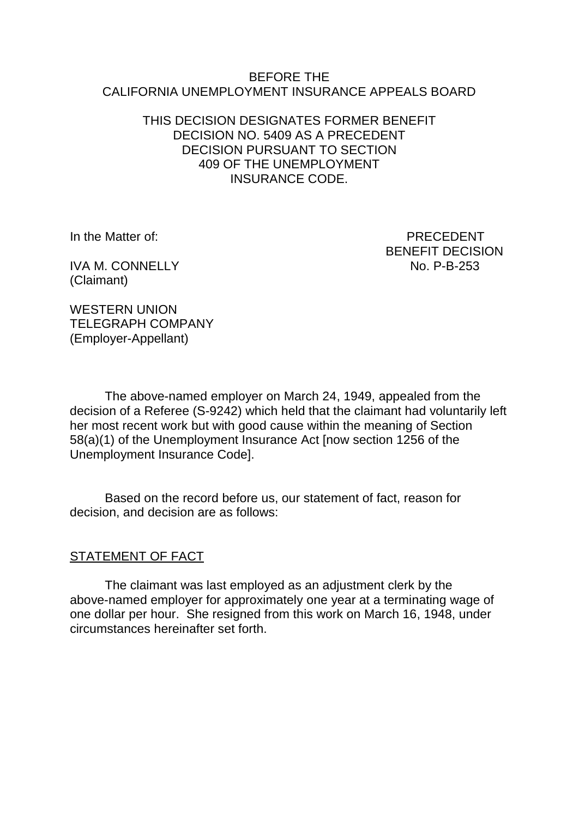#### BEFORE THE CALIFORNIA UNEMPLOYMENT INSURANCE APPEALS BOARD

#### THIS DECISION DESIGNATES FORMER BENEFIT DECISION NO. 5409 AS A PRECEDENT DECISION PURSUANT TO SECTION 409 OF THE UNEMPLOYMENT INSURANCE CODE.

In the Matter of: PRECEDENT BENEFIT DECISION<br>No. P-B-253

**IVA M. CONNELLY** (Claimant)

WESTERN UNION TELEGRAPH COMPANY (Employer-Appellant)

The above-named employer on March 24, 1949, appealed from the decision of a Referee (S-9242) which held that the claimant had voluntarily left her most recent work but with good cause within the meaning of Section 58(a)(1) of the Unemployment Insurance Act [now section 1256 of the Unemployment Insurance Code].

Based on the record before us, our statement of fact, reason for decision, and decision are as follows:

## STATEMENT OF FACT

The claimant was last employed as an adjustment clerk by the above-named employer for approximately one year at a terminating wage of one dollar per hour. She resigned from this work on March 16, 1948, under circumstances hereinafter set forth.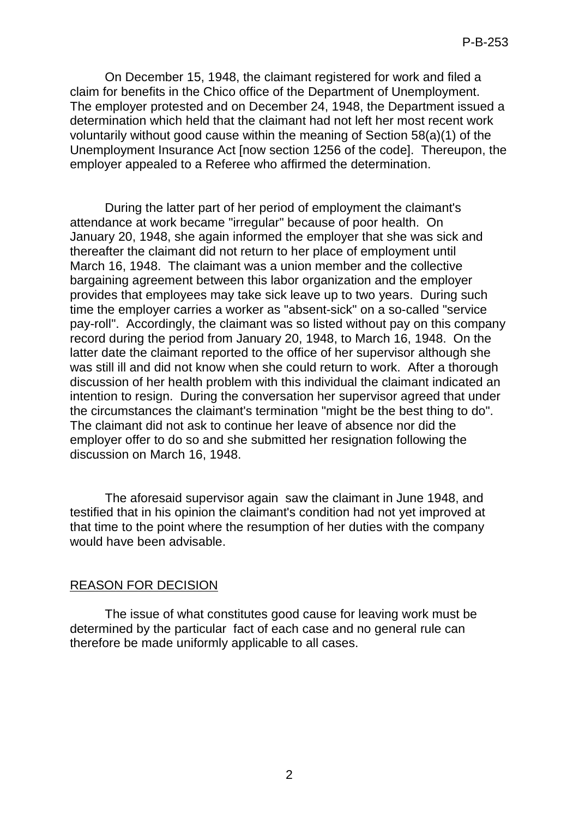On December 15, 1948, the claimant registered for work and filed a claim for benefits in the Chico office of the Department of Unemployment. The employer protested and on December 24, 1948, the Department issued a determination which held that the claimant had not left her most recent work voluntarily without good cause within the meaning of Section 58(a)(1) of the Unemployment Insurance Act [now section 1256 of the code]. Thereupon, the employer appealed to a Referee who affirmed the determination.

During the latter part of her period of employment the claimant's attendance at work became "irregular" because of poor health. On January 20, 1948, she again informed the employer that she was sick and thereafter the claimant did not return to her place of employment until March 16, 1948. The claimant was a union member and the collective bargaining agreement between this labor organization and the employer provides that employees may take sick leave up to two years. During such time the employer carries a worker as "absent-sick" on a so-called "service pay-roll". Accordingly, the claimant was so listed without pay on this company record during the period from January 20, 1948, to March 16, 1948. On the latter date the claimant reported to the office of her supervisor although she was still ill and did not know when she could return to work. After a thorough discussion of her health problem with this individual the claimant indicated an intention to resign. During the conversation her supervisor agreed that under the circumstances the claimant's termination "might be the best thing to do". The claimant did not ask to continue her leave of absence nor did the employer offer to do so and she submitted her resignation following the discussion on March 16, 1948.

The aforesaid supervisor again saw the claimant in June 1948, and testified that in his opinion the claimant's condition had not yet improved at that time to the point where the resumption of her duties with the company would have been advisable.

#### REASON FOR DECISION

The issue of what constitutes good cause for leaving work must be determined by the particular fact of each case and no general rule can therefore be made uniformly applicable to all cases.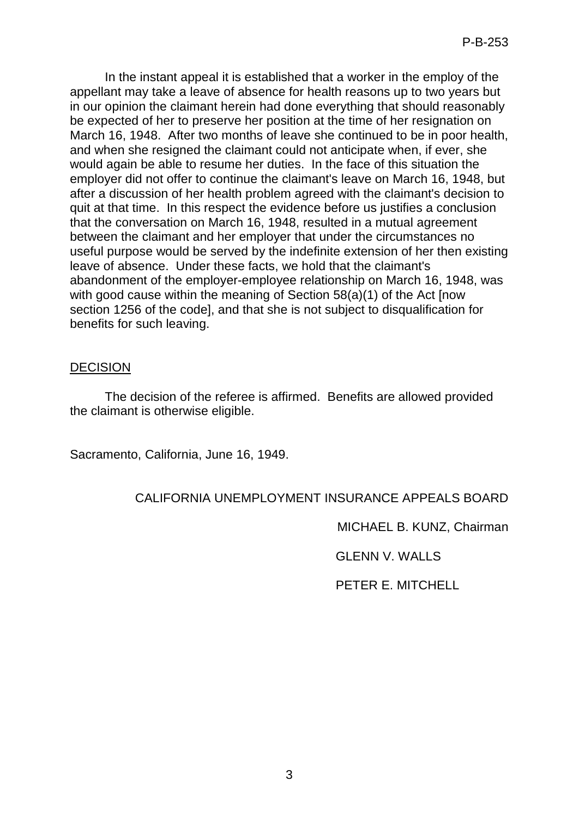In the instant appeal it is established that a worker in the employ of the appellant may take a leave of absence for health reasons up to two years but in our opinion the claimant herein had done everything that should reasonably be expected of her to preserve her position at the time of her resignation on March 16, 1948. After two months of leave she continued to be in poor health, and when she resigned the claimant could not anticipate when, if ever, she would again be able to resume her duties. In the face of this situation the employer did not offer to continue the claimant's leave on March 16, 1948, but after a discussion of her health problem agreed with the claimant's decision to quit at that time. In this respect the evidence before us justifies a conclusion that the conversation on March 16, 1948, resulted in a mutual agreement between the claimant and her employer that under the circumstances no useful purpose would be served by the indefinite extension of her then existing leave of absence. Under these facts, we hold that the claimant's abandonment of the employer-employee relationship on March 16, 1948, was with good cause within the meaning of Section 58(a)(1) of the Act [now section 1256 of the code], and that she is not subject to disqualification for benefits for such leaving.

#### DECISION

The decision of the referee is affirmed. Benefits are allowed provided the claimant is otherwise eligible.

Sacramento, California, June 16, 1949.

# CALIFORNIA UNEMPLOYMENT INSURANCE APPEALS BOARD

MICHAEL B. KUNZ, Chairman

GLENN V. WALLS

PETER E. MITCHELL